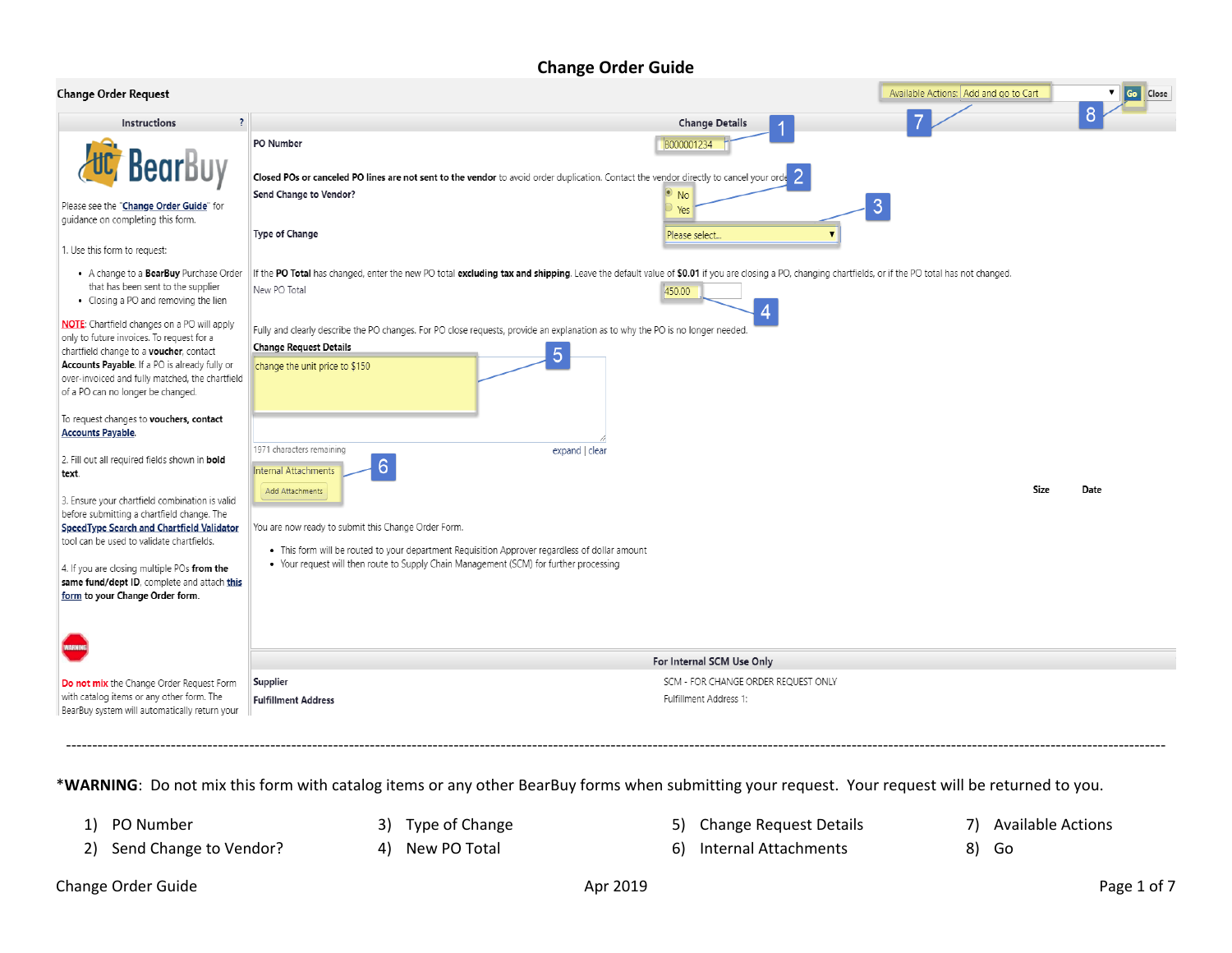#### **Change Order Guide**

| <b>Change Order Request</b>                                                                                                                                                                                                                                                         |                                                                                                                                                                                                                      |                                                               | Available Actions: Add and go to Cart | Go Close |  |  |  |
|-------------------------------------------------------------------------------------------------------------------------------------------------------------------------------------------------------------------------------------------------------------------------------------|----------------------------------------------------------------------------------------------------------------------------------------------------------------------------------------------------------------------|---------------------------------------------------------------|---------------------------------------|----------|--|--|--|
| $\overline{\phantom{a}}$<br>Instructions                                                                                                                                                                                                                                            |                                                                                                                                                                                                                      | <b>Change Details</b>                                         |                                       |          |  |  |  |
| <b>Bear</b> Buy                                                                                                                                                                                                                                                                     | PO Number<br>Closed POs or canceled PO lines are not sent to the vendor to avoid order duplication. Contact the vendor directly to cancel your orde                                                                  | B000001234                                                    |                                       |          |  |  |  |
| Please see the "Change Order Guide" for<br>guidance on completing this form.<br>1. Use this form to request:                                                                                                                                                                        | Send Change to Vendor?<br>Type of Change                                                                                                                                                                             | $\bullet$ No<br>Yes<br>Please select                          | 3                                     |          |  |  |  |
| • A change to a BearBuy Purchase Order<br>that has been sent to the supplier<br>• Closing a PO and removing the lien                                                                                                                                                                | If the PO Total has changed, enter the new PO total excluding tax and shipping. Leave the default value of \$0.01 if you are closing a PO, changing chartfields, or if the PO total has not changed.<br>New PO Total | 450.00                                                        |                                       |          |  |  |  |
| <b>NOTE:</b> Chartfield changes on a PO will apply<br>only to future invoices. To request for a<br>chartfield change to a voucher, contact<br>Accounts Payable. If a PO is already fully or<br>over-invoiced and fully matched, the chartfield<br>of a PO can no longer be changed. | Fully and clearly describe the PO changes. For PO close requests, provide an explanation as to why the PO is no longer needed.<br><b>Change Request Details</b><br>5<br>change the unit price to \$150               |                                                               |                                       |          |  |  |  |
| To request changes to vouchers, contact<br><b>Accounts Payable.</b>                                                                                                                                                                                                                 | 1971 characters remaining<br>expand   clear                                                                                                                                                                          |                                                               |                                       |          |  |  |  |
| 2. Fill out all required fields shown in bold<br>text.                                                                                                                                                                                                                              | 6<br>Internal Attachments<br>Add Attachments                                                                                                                                                                         |                                                               | Size                                  | Date     |  |  |  |
| 3. Ensure your chartfield combination is valid<br>before submitting a chartfield change. The<br>SpeedType Search and Chartfield Validator<br>tool can be used to validate chartfields.                                                                                              | You are now ready to submit this Change Order Form.<br>. This form will be routed to your department Requisition Approver regardless of dollar amount                                                                |                                                               |                                       |          |  |  |  |
| 4. If you are closing multiple POs from the<br>same fund/dept ID, complete and attach this<br>form to your Change Order form.                                                                                                                                                       | • Your request will then route to Supply Chain Management (SCM) for further processing                                                                                                                               |                                                               |                                       |          |  |  |  |
|                                                                                                                                                                                                                                                                                     |                                                                                                                                                                                                                      |                                                               |                                       |          |  |  |  |
|                                                                                                                                                                                                                                                                                     |                                                                                                                                                                                                                      | For Internal SCM Use Only                                     |                                       |          |  |  |  |
| Do not mix the Change Order Request Form<br>with catalog items or any other form. The<br>BearBuy system will automatically return your                                                                                                                                              | Supplier<br><b>Fulfillment Address</b>                                                                                                                                                                               | SCM - FOR CHANGE ORDER REQUEST ONLY<br>Fulfillment Address 1: |                                       |          |  |  |  |

\***WARNING**: Do not mix this form with catalog items or any other BearBuy forms when submitting your request. Your request will be returned to you.

1) PO Number

3) Type of Change

- 
- 
- 2) Send Change to Vendor?
- 4) New PO Total
- 5) Change Request Details 7) Available Actions
- 6) Internal Attachments
- 
- 8) Go

------------------------------------------------------------------------------------------------------------------------------------------------------------------------------------------------------------------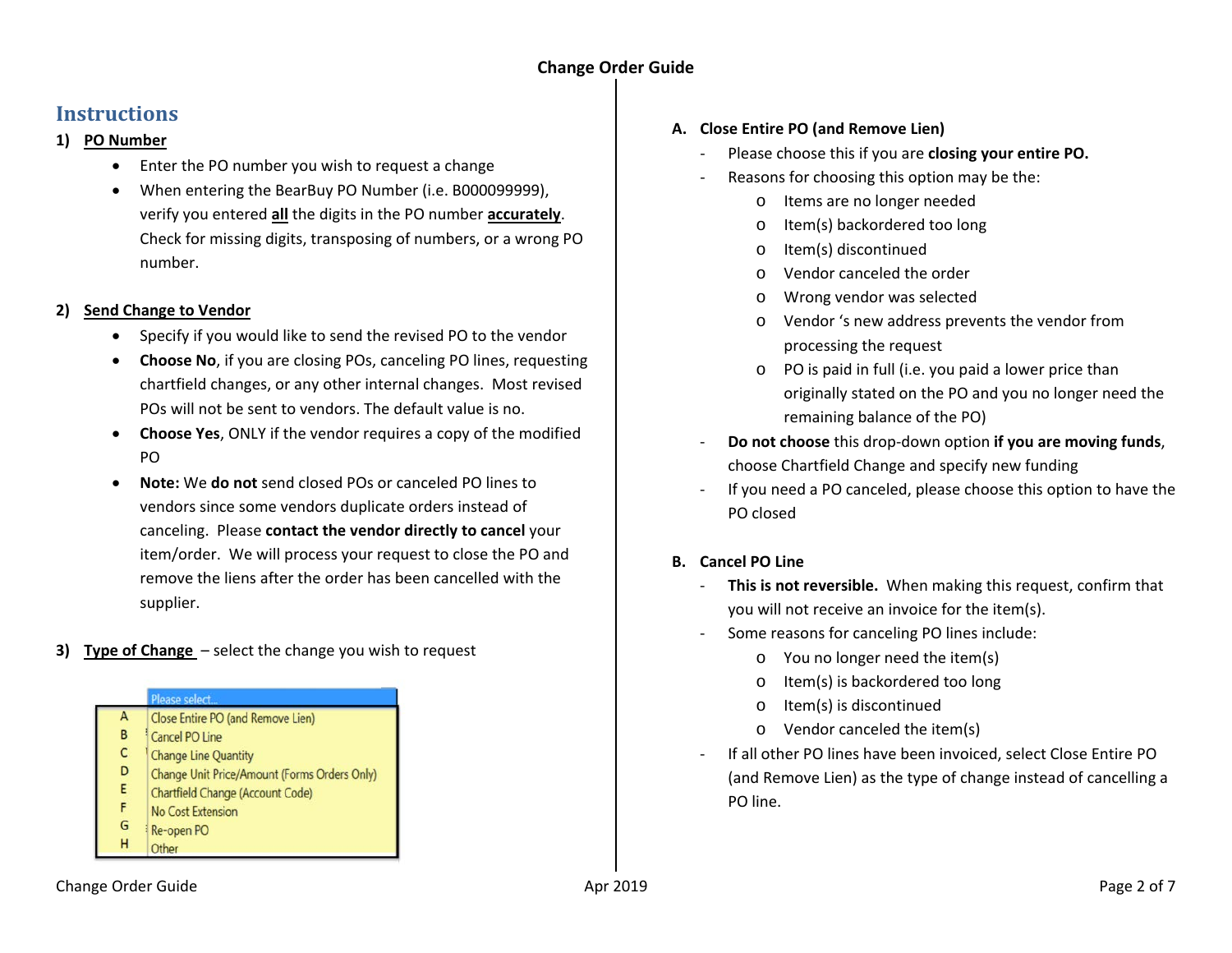## **Instructions**

#### **1) PO Number**

- Enter the PO number you wish to request a change
- When entering the BearBuy PO Number (i.e. B000099999), verify you entered **all** the digits in the PO number **accurately**. Check for missing digits, transposing of numbers, or a wrong PO number.

#### **2) Send Change to Vendor**

- Specify if you would like to send the revised PO to the vendor
- **Choose No**, if you are closing POs, canceling PO lines, requesting chartfield changes, or any other internal changes. Most revised POs will not be sent to vendors. The default value is no.
- **Choose Yes**, ONLY if the vendor requires a copy of the modified PO
- **Note:** We **do not** send closed POs or canceled PO lines to vendors since some vendors duplicate orders instead of canceling. Please **contact the vendor directly to cancel** your item/order. We will process your request to close the PO and remove the liens after the order has been cancelled with the supplier.
- **3) Type of Change** select the change you wish to request

#### Please select...



- B Cancel PO Line
- $\mathsf{C}$ **Change Line Quantity**
- D Change Unit Price/Amount (Forms Orders Only)
- E Chartfield Change (Account Code)
- F No Cost Extension G
- Re-open PO н Other

#### **A. Close Entire PO (and Remove Lien)**

- Please choose this if you are **closing your entire PO.**
- Reasons for choosing this option may be the:
	- o Items are no longer needed
	- o Item(s) backordered too long
	- o Item(s) discontinued
	- o Vendor canceled the order
	- o Wrong vendor was selected
	- o Vendor 's new address prevents the vendor from processing the request
	- o PO is paid in full (i.e. you paid a lower price than originally stated on the PO and you no longer need the remaining balance of the PO)
- **Do not choose** this drop-down option **if you are moving funds**, choose Chartfield Change and specify new funding
- If you need a PO canceled, please choose this option to have the PO closed

#### **B. Cancel PO Line**

- **This is not reversible.** When making this request, confirm that you will not receive an invoice for the item(s).
- Some reasons for canceling PO lines include:
	- o You no longer need the item(s)
	- o Item(s) is backordered too long
	- o Item(s) is discontinued
	- o Vendor canceled the item(s)
- If all other PO lines have been invoiced, select Close Entire PO (and Remove Lien) as the type of change instead of cancelling a PO line.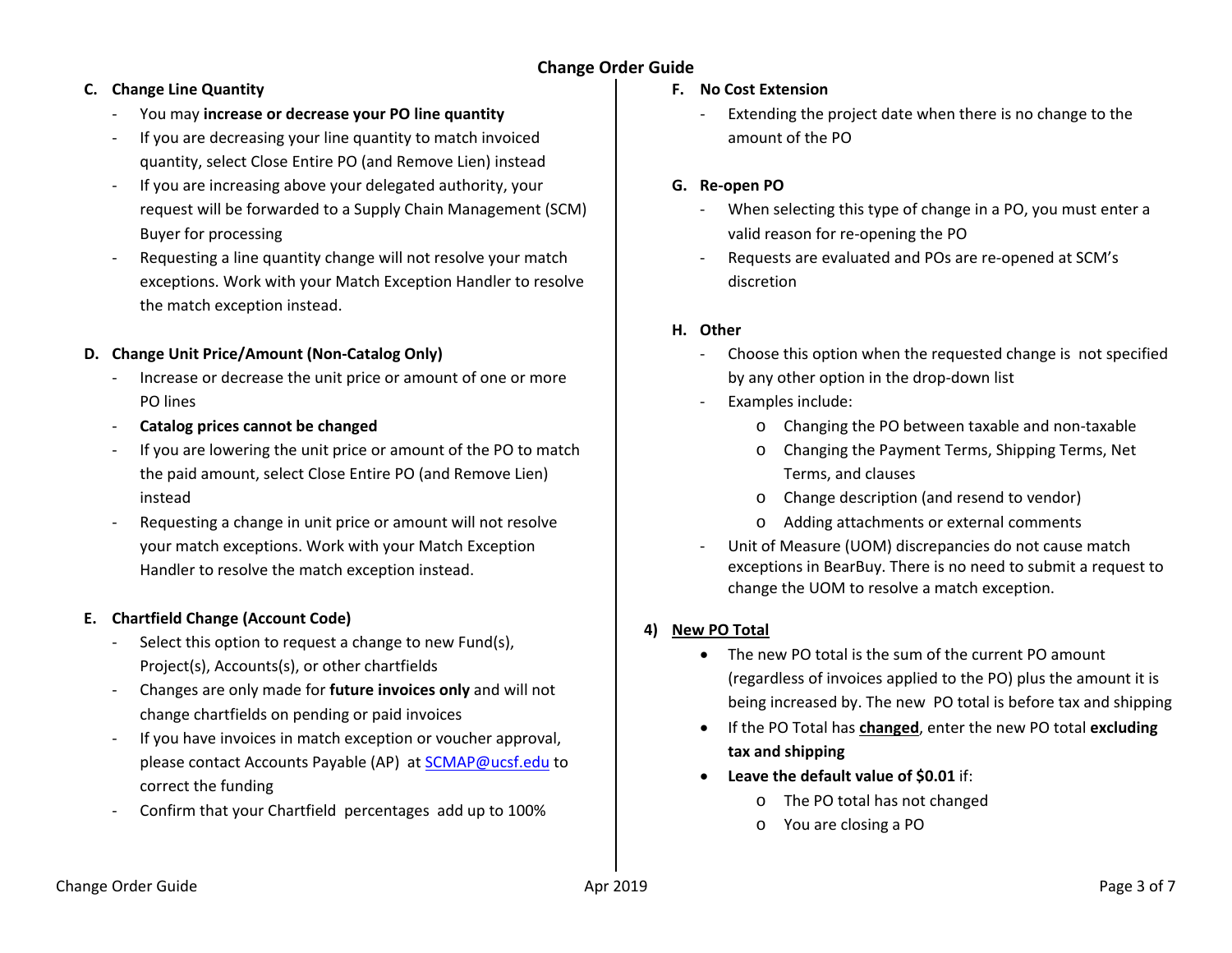## **Change Order Guide**

### **C. Change Line Quantity**

- You may **increase or decrease your PO line quantity**
- If you are decreasing your line quantity to match invoiced quantity, select Close Entire PO (and Remove Lien) instead
- If you are increasing above your delegated authority, your request will be forwarded to a Supply Chain Management (SCM) Buyer for processing
- Requesting a line quantity change will not resolve your match exceptions. Work with your Match Exception Handler to resolve the match exception instead.

#### **D. Change Unit Price/Amount (Non-Catalog Only)**

- Increase or decrease the unit price or amount of one or more PO lines
- **Catalog prices cannot be changed**
- If you are lowering the unit price or amount of the PO to match the paid amount, select Close Entire PO (and Remove Lien) instead
- Requesting a change in unit price or amount will not resolve your match exceptions. Work with your Match Exception Handler to resolve the match exception instead.

#### **E. Chartfield Change (Account Code)**

- Select this option to request a change to new Fund(s), Project(s), Accounts(s), or other chartfields
- Changes are only made for **future invoices only** and will not change chartfields on pending or paid invoices
- If you have invoices in match exception or voucher approval, please contact Accounts Payable (AP) at [SCMAP@ucsf.edu](mailto:SCMAP@ucsf.edu) to correct the funding
- Confirm that your Chartfield percentages add up to 100%

#### **F. No Cost Extension**

Extending the project date when there is no change to the amount of the PO

#### **G. Re-open PO**

- When selecting this type of change in a PO, you must enter a valid reason for re-opening the PO
- Requests are evaluated and POs are re-opened at SCM's discretion

#### **H. Other**

- Choose this option when the requested change is not specified by any other option in the drop-down list
- Examples include:
	- o Changing the PO between taxable and non-taxable
	- o Changing the Payment Terms, Shipping Terms, Net Terms, and clauses
	- o Change description (and resend to vendor)
	- o Adding attachments or external comments
- Unit of Measure (UOM) discrepancies do not cause match exceptions in BearBuy. There is no need to submit a request to change the UOM to resolve a match exception.

#### **4) New PO Total**

- The new PO total is the sum of the current PO amount (regardless of invoices applied to the PO) plus the amount it is being increased by. The new PO total is before tax and shipping
- If the PO Total has **changed**, enter the new PO total **excluding tax and shipping**
- **Leave the default value of \$0.01** if:
	- o The PO total has not changed
	- o You are closing a PO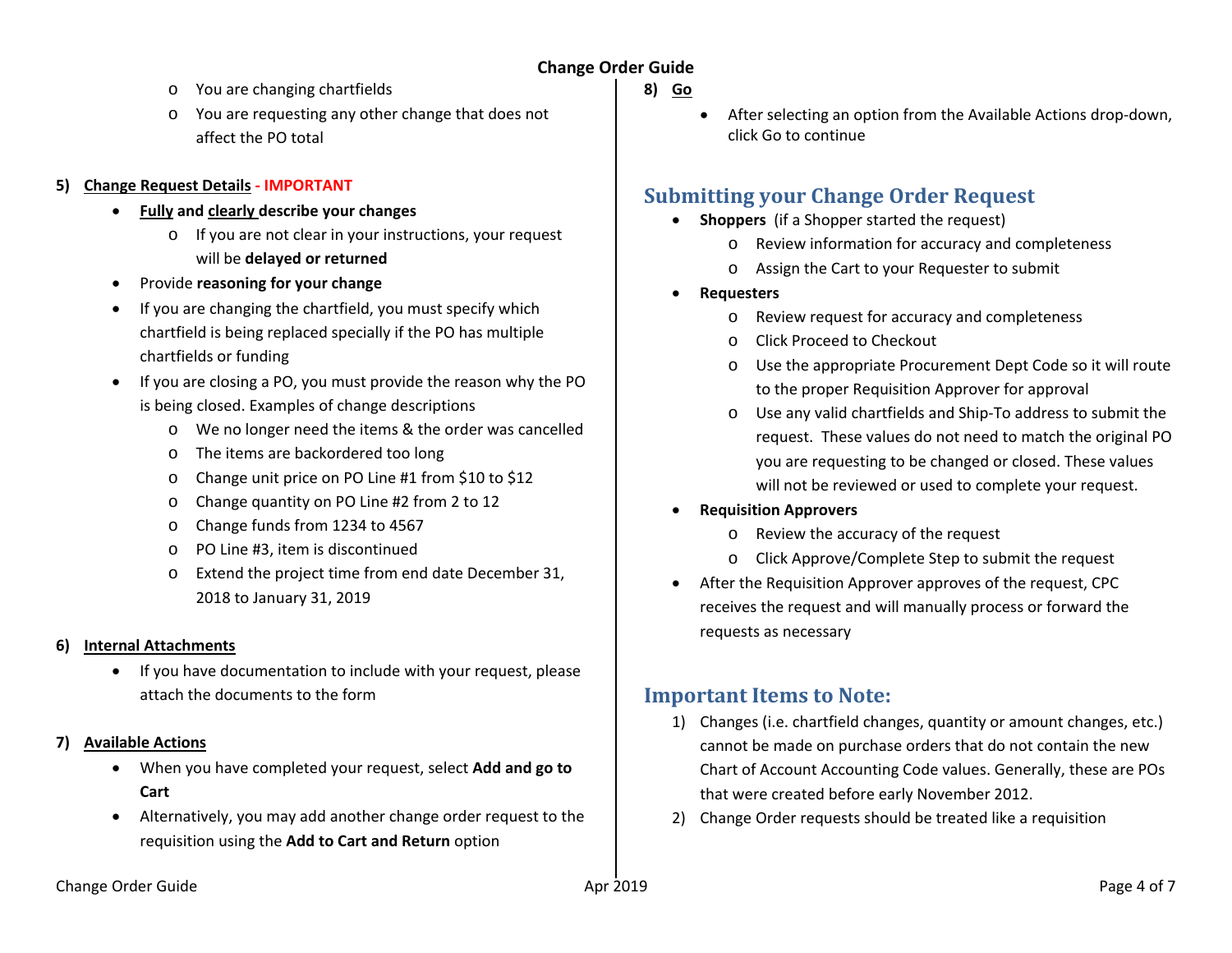#### **Change Order Guide**

- o You are changing chartfields
- o You are requesting any other change that does not affect the PO total

#### **5) Change Request Details - IMPORTANT**

- **Fully and clearly describe your changes** 
	- o If you are not clear in your instructions, your request will be **delayed or returned**
- Provide **reasoning for your change**
- If you are changing the chartfield, you must specify which chartfield is being replaced specially if the PO has multiple chartfields or funding
- If you are closing a PO, you must provide the reason why the PO is being closed. Examples of change descriptions
	- o We no longer need the items & the order was cancelled
	- o The items are backordered too long
	- o Change unit price on PO Line #1 from \$10 to \$12
	- o Change quantity on PO Line #2 from 2 to 12
	- o Change funds from 1234 to 4567
	- o PO Line #3, item is discontinued
	- Extend the project time from end date December 31, 2018 to January 31, 2019

#### **6) Internal Attachments**

• If you have documentation to include with your request, please attach the documents to the form

#### **7) Available Actions**

- When you have completed your request, select **Add and go to Cart**
- Alternatively, you may add another change order request to the requisition using the **Add to Cart and Return** option
- **8) Go**
	- After selecting an option from the Available Actions drop-down, click Go to continue

## **Submitting your Change Order Request**

- **Shoppers** (if a Shopper started the request)
	- o Review information for accuracy and completeness
	- o Assign the Cart to your Requester to submit
- **Requesters**
	- o Review request for accuracy and completeness
	- o Click Proceed to Checkout
	- o Use the appropriate Procurement Dept Code so it will route to the proper Requisition Approver for approval
	- o Use any valid chartfields and Ship-To address to submit the request. These values do not need to match the original PO you are requesting to be changed or closed. These values will not be reviewed or used to complete your request.

#### • **Requisition Approvers**

- o Review the accuracy of the request
- o Click Approve/Complete Step to submit the request
- After the Requisition Approver approves of the request, CPC receives the request and will manually process or forward the requests as necessary

## **Important Items to Note:**

- 1) Changes (i.e. chartfield changes, quantity or amount changes, etc.) cannot be made on purchase orders that do not contain the new Chart of Account Accounting Code values. Generally, these are POs that were created before early November 2012.
- 2) Change Order requests should be treated like a requisition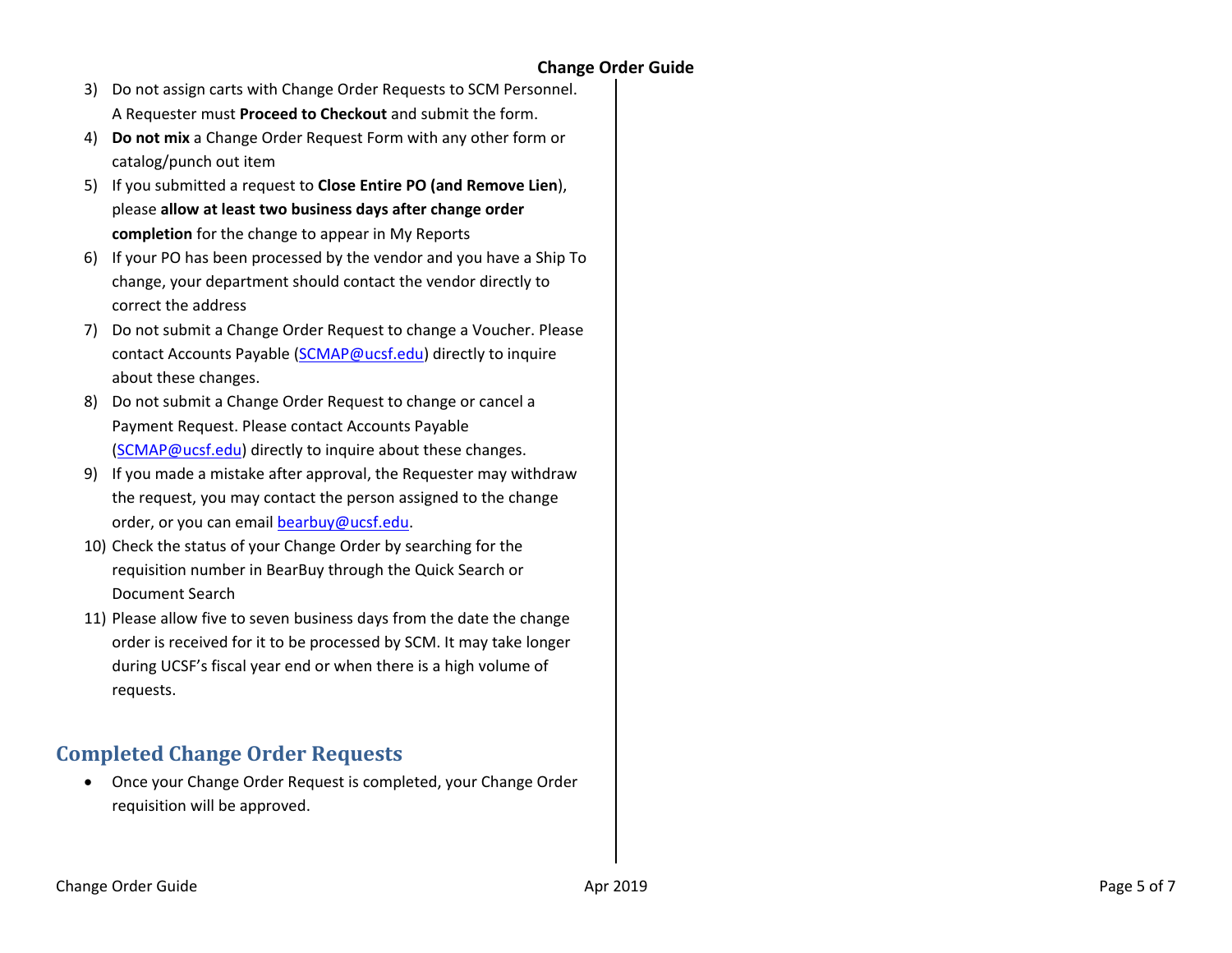- 3) Do not assign carts with Change Order Requests to SCM Personnel. A Requester must **Proceed to Checkout** and submit the form.
- 4) **Do not mix** a Change Order Request Form with any other form or catalog/punch out item
- 5) If you submitted a request to **Close Entire PO (and Remove Lien**), please **allow at least two business days after change order completion** for the change to appear in My Reports
- 6) If your PO has been processed by the vendor and you have a Ship To change, your department should contact the vendor directly to correct the address
- 7) Do not submit a Change Order Request to change a Voucher. Please contact Accounts Payable [\(SCMAP@ucsf.edu\)](mailto:SCMAP@ucsf.edu) directly to inquire about these changes.
- 8) Do not submit a Change Order Request to change or cancel a Payment Request. Please contact Accounts Payable [\(SCMAP@ucsf.edu\)](mailto:SCMAP@ucsf.edu) directly to inquire about these changes.
- 9) If you made a mistake after approval, the Requester may withdraw the request, you may contact the person assigned to the change order, or you can email [bearbuy@ucsf.edu.](mailto:bearbuy@ucsf.edu)
- 10) Check the status of your Change Order by searching for the requisition number in BearBuy through the Quick Search or Document Search
- 11) Please allow five to seven business days from the date the change order is received for it to be processed by SCM. It may take longer during UCSF's fiscal year end or when there is a high volume of requests.

# **Completed Change Order Requests**

• Once your Change Order Request is completed, your Change Order requisition will be approved.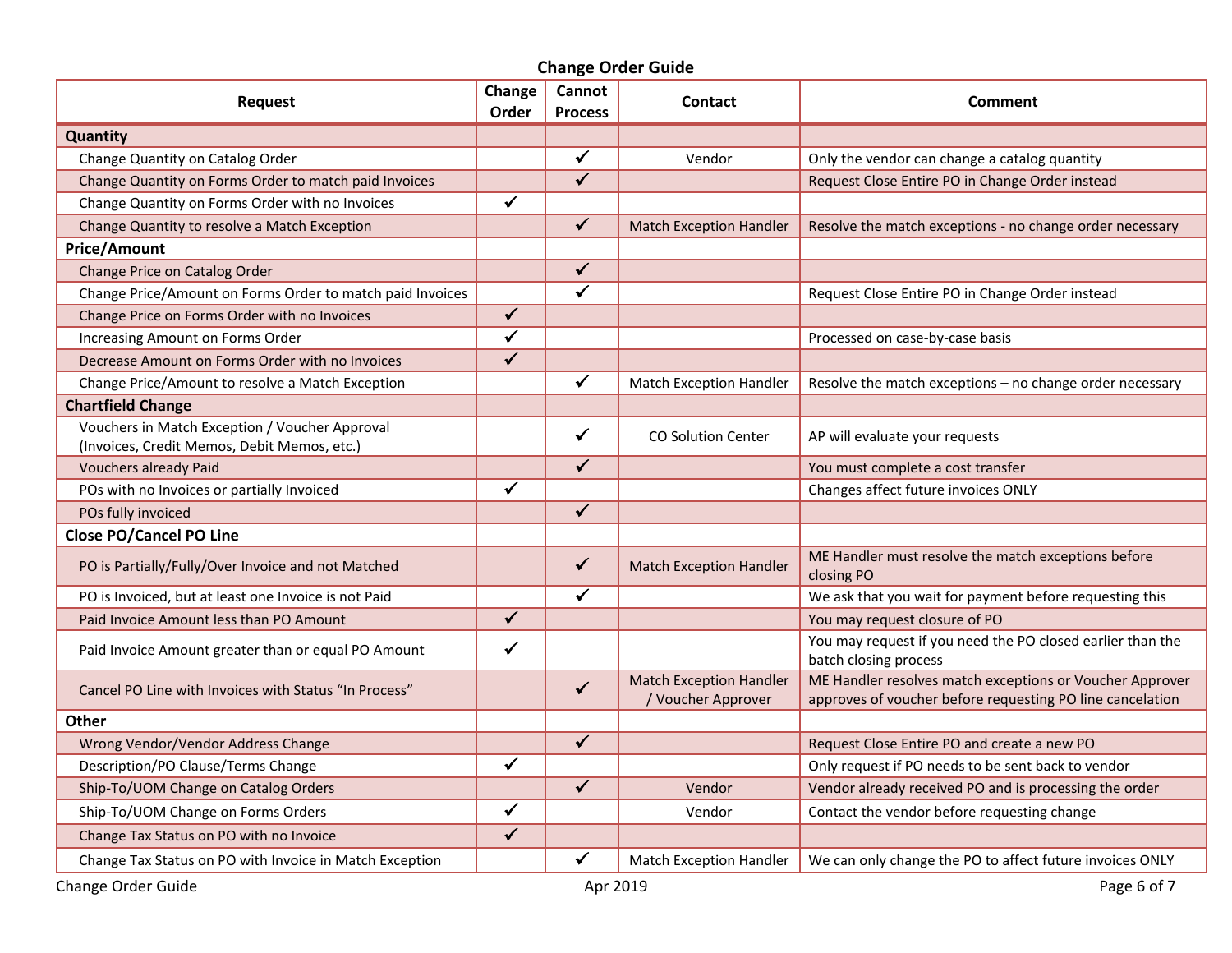| <b>Change Order Guide</b>                                                                     |                 |                          |                                                      |                                                                                                                       |  |  |  |  |  |
|-----------------------------------------------------------------------------------------------|-----------------|--------------------------|------------------------------------------------------|-----------------------------------------------------------------------------------------------------------------------|--|--|--|--|--|
| <b>Request</b>                                                                                | Change<br>Order | Cannot<br><b>Process</b> | <b>Contact</b>                                       | Comment                                                                                                               |  |  |  |  |  |
| <b>Quantity</b>                                                                               |                 |                          |                                                      |                                                                                                                       |  |  |  |  |  |
| Change Quantity on Catalog Order                                                              |                 | $\checkmark$             | Vendor                                               | Only the vendor can change a catalog quantity                                                                         |  |  |  |  |  |
| Change Quantity on Forms Order to match paid Invoices                                         |                 | $\checkmark$             |                                                      | Request Close Entire PO in Change Order instead                                                                       |  |  |  |  |  |
| Change Quantity on Forms Order with no Invoices                                               | ✔               |                          |                                                      |                                                                                                                       |  |  |  |  |  |
| Change Quantity to resolve a Match Exception                                                  |                 | $\checkmark$             | <b>Match Exception Handler</b>                       | Resolve the match exceptions - no change order necessary                                                              |  |  |  |  |  |
| <b>Price/Amount</b>                                                                           |                 |                          |                                                      |                                                                                                                       |  |  |  |  |  |
| Change Price on Catalog Order                                                                 |                 | $\checkmark$             |                                                      |                                                                                                                       |  |  |  |  |  |
| Change Price/Amount on Forms Order to match paid Invoices                                     |                 | $\overline{\checkmark}$  |                                                      | Request Close Entire PO in Change Order instead                                                                       |  |  |  |  |  |
| Change Price on Forms Order with no Invoices                                                  | $\checkmark$    |                          |                                                      |                                                                                                                       |  |  |  |  |  |
| Increasing Amount on Forms Order                                                              | $\checkmark$    |                          |                                                      | Processed on case-by-case basis                                                                                       |  |  |  |  |  |
| Decrease Amount on Forms Order with no Invoices                                               | $\checkmark$    |                          |                                                      |                                                                                                                       |  |  |  |  |  |
| Change Price/Amount to resolve a Match Exception                                              |                 | $\checkmark$             | Match Exception Handler                              | Resolve the match exceptions - no change order necessary                                                              |  |  |  |  |  |
| <b>Chartfield Change</b>                                                                      |                 |                          |                                                      |                                                                                                                       |  |  |  |  |  |
| Vouchers in Match Exception / Voucher Approval<br>(Invoices, Credit Memos, Debit Memos, etc.) |                 | $\checkmark$             | <b>CO Solution Center</b>                            | AP will evaluate your requests                                                                                        |  |  |  |  |  |
| <b>Vouchers already Paid</b>                                                                  |                 | $\checkmark$             |                                                      | You must complete a cost transfer                                                                                     |  |  |  |  |  |
| POs with no Invoices or partially Invoiced                                                    | $\checkmark$    |                          |                                                      | Changes affect future invoices ONLY                                                                                   |  |  |  |  |  |
| POs fully invoiced                                                                            |                 | $\checkmark$             |                                                      |                                                                                                                       |  |  |  |  |  |
| <b>Close PO/Cancel PO Line</b>                                                                |                 |                          |                                                      |                                                                                                                       |  |  |  |  |  |
| PO is Partially/Fully/Over Invoice and not Matched                                            |                 | $\checkmark$             | <b>Match Exception Handler</b>                       | ME Handler must resolve the match exceptions before<br>closing PO                                                     |  |  |  |  |  |
| PO is Invoiced, but at least one Invoice is not Paid                                          |                 | $\checkmark$             |                                                      | We ask that you wait for payment before requesting this                                                               |  |  |  |  |  |
| Paid Invoice Amount less than PO Amount                                                       | $\checkmark$    |                          |                                                      | You may request closure of PO                                                                                         |  |  |  |  |  |
| Paid Invoice Amount greater than or equal PO Amount                                           | ✓               |                          |                                                      | You may request if you need the PO closed earlier than the<br>batch closing process                                   |  |  |  |  |  |
| Cancel PO Line with Invoices with Status "In Process"                                         |                 | $\checkmark$             | <b>Match Exception Handler</b><br>/ Voucher Approver | ME Handler resolves match exceptions or Voucher Approver<br>approves of voucher before requesting PO line cancelation |  |  |  |  |  |
| <b>Other</b>                                                                                  |                 |                          |                                                      |                                                                                                                       |  |  |  |  |  |
| Wrong Vendor/Vendor Address Change                                                            |                 | $\checkmark$             |                                                      | Request Close Entire PO and create a new PO                                                                           |  |  |  |  |  |
| Description/PO Clause/Terms Change                                                            | ✔               |                          |                                                      | Only request if PO needs to be sent back to vendor                                                                    |  |  |  |  |  |
| Ship-To/UOM Change on Catalog Orders                                                          |                 | $\checkmark$             | Vendor                                               | Vendor already received PO and is processing the order                                                                |  |  |  |  |  |
| Ship-To/UOM Change on Forms Orders                                                            |                 |                          | Vendor                                               | Contact the vendor before requesting change                                                                           |  |  |  |  |  |
| Change Tax Status on PO with no Invoice                                                       | $\checkmark$    |                          |                                                      |                                                                                                                       |  |  |  |  |  |
| Change Tax Status on PO with Invoice in Match Exception                                       |                 | $\checkmark$             | Match Exception Handler                              | We can only change the PO to affect future invoices ONLY                                                              |  |  |  |  |  |
| Change Order Guide                                                                            |                 | Apr 2019                 |                                                      | Page 6 of 7                                                                                                           |  |  |  |  |  |